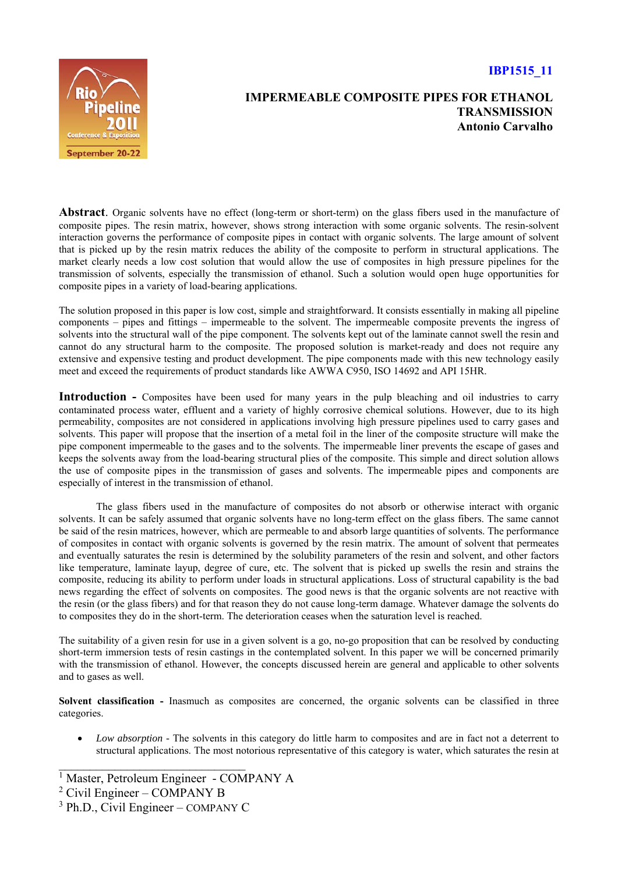## **IBP1515\_11**



## **IMPERMEABLE COMPOSITE PIPES FOR ETHANOL TRANSMISSION Antonio Carvalho**

**Abstract**. Organic solvents have no effect (long-term or short-term) on the glass fibers used in the manufacture of composite pipes. The resin matrix, however, shows strong interaction with some organic solvents. The resin-solvent interaction governs the performance of composite pipes in contact with organic solvents. The large amount of solvent that is picked up by the resin matrix reduces the ability of the composite to perform in structural applications. The market clearly needs a low cost solution that would allow the use of composites in high pressure pipelines for the transmission of solvents, especially the transmission of ethanol. Such a solution would open huge opportunities for composite pipes in a variety of load-bearing applications.

The solution proposed in this paper is low cost, simple and straightforward. It consists essentially in making all pipeline components – pipes and fittings – impermeable to the solvent. The impermeable composite prevents the ingress of solvents into the structural wall of the pipe component. The solvents kept out of the laminate cannot swell the resin and cannot do any structural harm to the composite. The proposed solution is market-ready and does not require any extensive and expensive testing and product development. The pipe components made with this new technology easily meet and exceed the requirements of product standards like AWWA C950, ISO 14692 and API 15HR.

Introduction - Composites have been used for many years in the pulp bleaching and oil industries to carry contaminated process water, effluent and a variety of highly corrosive chemical solutions. However, due to its high permeability, composites are not considered in applications involving high pressure pipelines used to carry gases and solvents. This paper will propose that the insertion of a metal foil in the liner of the composite structure will make the pipe component impermeable to the gases and to the solvents. The impermeable liner prevents the escape of gases and keeps the solvents away from the load-bearing structural plies of the composite. This simple and direct solution allows the use of composite pipes in the transmission of gases and solvents. The impermeable pipes and components are especially of interest in the transmission of ethanol.

The glass fibers used in the manufacture of composites do not absorb or otherwise interact with organic solvents. It can be safely assumed that organic solvents have no long-term effect on the glass fibers. The same cannot be said of the resin matrices, however, which are permeable to and absorb large quantities of solvents. The performance of composites in contact with organic solvents is governed by the resin matrix. The amount of solvent that permeates and eventually saturates the resin is determined by the solubility parameters of the resin and solvent, and other factors like temperature, laminate layup, degree of cure, etc. The solvent that is picked up swells the resin and strains the composite, reducing its ability to perform under loads in structural applications. Loss of structural capability is the bad news regarding the effect of solvents on composites. The good news is that the organic solvents are not reactive with the resin (or the glass fibers) and for that reason they do not cause long-term damage. Whatever damage the solvents do to composites they do in the short-term. The deterioration ceases when the saturation level is reached.

The suitability of a given resin for use in a given solvent is a go, no-go proposition that can be resolved by conducting short-term immersion tests of resin castings in the contemplated solvent. In this paper we will be concerned primarily with the transmission of ethanol. However, the concepts discussed herein are general and applicable to other solvents and to gases as well.

**Solvent classification -** Inasmuch as composites are concerned, the organic solvents can be classified in three categories.

 *Low absorption -* The solvents in this category do little harm to composites and are in fact not a deterrent to structural applications. The most notorious representative of this category is water, which saturates the resin at

 $\mathcal{L}_\text{max}$ 

<sup>&</sup>lt;sup>1</sup> Master, Petroleum Engineer - COMPANY A

<sup>&</sup>lt;sup>2</sup> Civil Engineer – COMPANY B

<sup>&</sup>lt;sup>3</sup> Ph.D., Civil Engineer – COMPANY C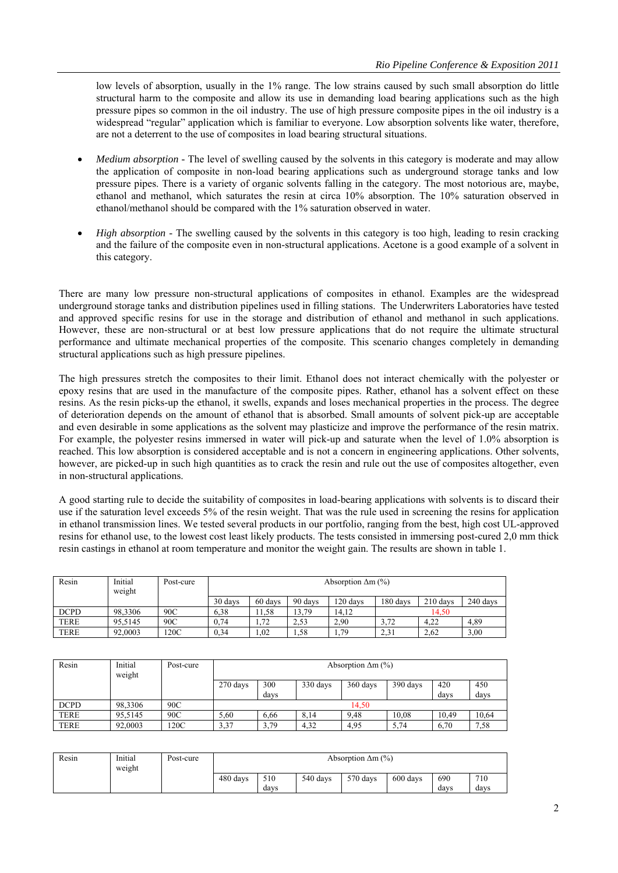low levels of absorption, usually in the 1% range. The low strains caused by such small absorption do little structural harm to the composite and allow its use in demanding load bearing applications such as the high pressure pipes so common in the oil industry. The use of high pressure composite pipes in the oil industry is a widespread "regular" application which is familiar to everyone. Low absorption solvents like water, therefore, are not a deterrent to the use of composites in load bearing structural situations.

- *Medium absorption -* The level of swelling caused by the solvents in this category is moderate and may allow the application of composite in non-load bearing applications such as underground storage tanks and low pressure pipes. There is a variety of organic solvents falling in the category. The most notorious are, maybe, ethanol and methanol, which saturates the resin at circa 10% absorption. The 10% saturation observed in ethanol/methanol should be compared with the 1% saturation observed in water.
- *High absorption -* The swelling caused by the solvents in this category is too high, leading to resin cracking and the failure of the composite even in non-structural applications. Acetone is a good example of a solvent in this category.

There are many low pressure non-structural applications of composites in ethanol. Examples are the widespread underground storage tanks and distribution pipelines used in filling stations. The Underwriters Laboratories have tested and approved specific resins for use in the storage and distribution of ethanol and methanol in such applications. However, these are non-structural or at best low pressure applications that do not require the ultimate structural performance and ultimate mechanical properties of the composite. This scenario changes completely in demanding structural applications such as high pressure pipelines.

The high pressures stretch the composites to their limit. Ethanol does not interact chemically with the polyester or epoxy resins that are used in the manufacture of the composite pipes. Rather, ethanol has a solvent effect on these resins. As the resin picks-up the ethanol, it swells, expands and loses mechanical properties in the process. The degree of deterioration depends on the amount of ethanol that is absorbed. Small amounts of solvent pick-up are acceptable and even desirable in some applications as the solvent may plasticize and improve the performance of the resin matrix. For example, the polyester resins immersed in water will pick-up and saturate when the level of 1.0% absorption is reached. This low absorption is considered acceptable and is not a concern in engineering applications. Other solvents, however, are picked-up in such high quantities as to crack the resin and rule out the use of composites altogether, even in non-structural applications.

A good starting rule to decide the suitability of composites in load-bearing applications with solvents is to discard their use if the saturation level exceeds 5% of the resin weight. That was the rule used in screening the resins for application in ethanol transmission lines. We tested several products in our portfolio, ranging from the best, high cost UL-approved resins for ethanol use, to the lowest cost least likely products. The tests consisted in immersing post-cured 2,0 mm thick resin castings in ethanol at room temperature and monitor the weight gain. The results are shown in table 1.

| Resin       | Initial<br>weight | Post-cure | Absorption $\Delta m$ (%) |         |         |          |          |            |          |  |
|-------------|-------------------|-----------|---------------------------|---------|---------|----------|----------|------------|----------|--|
|             |                   |           | 30 days                   | 60 days | 90 days | 120 davs | 180 days | $210$ days | 240 days |  |
| <b>DCPD</b> | 98.3306           | 90C       | 6,38                      | 11.58   | 13,79   | 14.12    | 14.50    |            |          |  |
| <b>TERE</b> | 95.5145           | 90C       | 0.74                      | 1.72    | 2.53    | 2.90     | 3.72     | 4.22       | 4,89     |  |
| <b>TERE</b> | 92,0003           | 120C      | 0.34                      | 1.02    | 1,58    | 1,79     | 2.31     | 2.62       | 3,00     |  |

| Resin       | Initial<br>weight | Post-cure | Absorption $\Delta m$ (%) |      |          |          |          |       |       |
|-------------|-------------------|-----------|---------------------------|------|----------|----------|----------|-------|-------|
|             |                   |           | 270 days                  | 300  | 330 days | 360 days | 390 days | 420   | 450   |
|             |                   |           |                           | days |          |          |          | days  | days  |
| <b>DCPD</b> | 98.3306           | 90C       | 14.50                     |      |          |          |          |       |       |
| <b>TERE</b> | 95.5145           | 90C       | 5,60                      | 6.66 | 8,14     | 9.48     | 10.08    | 10,49 | 10,64 |
| <b>TERE</b> | 92,0003           | 120C      | 3,37                      | 3.79 | 4,32     | 4,95     | 5,74     | 6,70  | 7.58  |

| Resin | Initial<br>weight | Post-cure | Absorption $\Delta m$ (%) |             |          |          |          |             |             |  |
|-------|-------------------|-----------|---------------------------|-------------|----------|----------|----------|-------------|-------------|--|
|       |                   |           | 480 days                  | 510<br>davs | 540 days | 570 days | 600 days | 690<br>days | 710<br>days |  |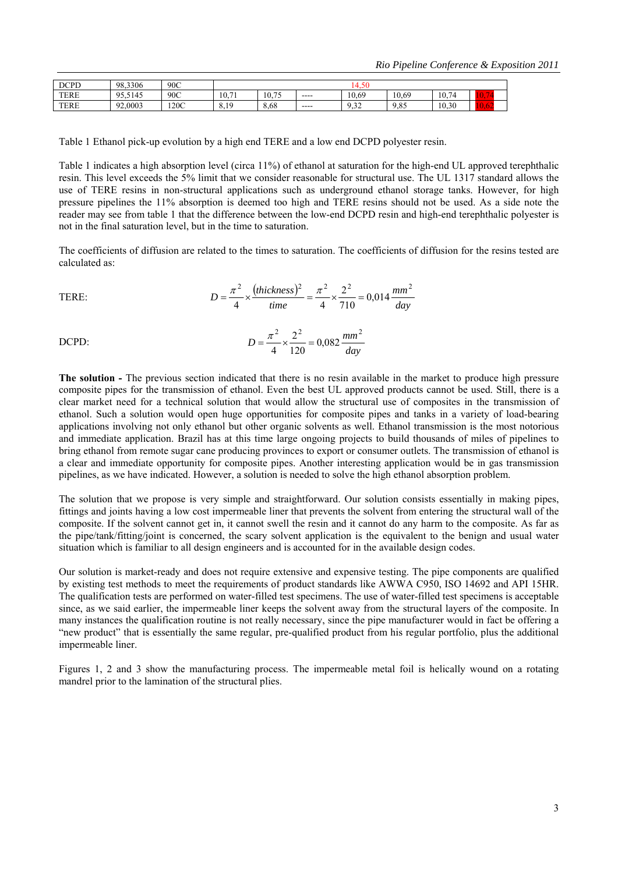| <b>DCPD</b> | 98.3306     | 90C  | $.4.50 -$              |       |      |               |       |       |  |
|-------------|-------------|------|------------------------|-------|------|---------------|-------|-------|--|
| <b>TERE</b> | 05<br>.5145 | 90C  | 71<br>$\sim$<br>10.    | 10.75 | ---- | 10.69         | 10.69 | 10.74 |  |
| <b>TERE</b> | 92,0003     | 120C | 1 <sub>0</sub><br>0.12 | 8,68  | ---- | $\sim$<br>ے ب | 9,85  | 10.30 |  |

Table 1 Ethanol pick-up evolution by a high end TERE and a low end DCPD polyester resin.

Table 1 indicates a high absorption level (circa 11%) of ethanol at saturation for the high-end UL approved terephthalic resin. This level exceeds the 5% limit that we consider reasonable for structural use. The UL 1317 standard allows the use of TERE resins in non-structural applications such as underground ethanol storage tanks. However, for high pressure pipelines the 11% absorption is deemed too high and TERE resins should not be used. As a side note the reader may see from table 1 that the difference between the low-end DCPD resin and high-end terephthalic polyester is not in the final saturation level, but in the time to saturation.

The coefficients of diffusion are related to the times to saturation. The coefficients of diffusion for the resins tested are calculated as:

TERE: 
$$
D = \frac{\pi^2}{4} \times \frac{(thickness)^2}{time} = \frac{\pi^2}{4} \times \frac{2^2}{710} = 0,014 \frac{mm^2}{day}
$$

DCPD: 
$$
D = \frac{\pi^2}{4} \times \frac{2^2}{120} = 0,082 \frac{mm^2}{day}
$$

**The solution -** The previous section indicated that there is no resin available in the market to produce high pressure composite pipes for the transmission of ethanol. Even the best UL approved products cannot be used. Still, there is a clear market need for a technical solution that would allow the structural use of composites in the transmission of ethanol. Such a solution would open huge opportunities for composite pipes and tanks in a variety of load-bearing applications involving not only ethanol but other organic solvents as well. Ethanol transmission is the most notorious and immediate application. Brazil has at this time large ongoing projects to build thousands of miles of pipelines to bring ethanol from remote sugar cane producing provinces to export or consumer outlets. The transmission of ethanol is a clear and immediate opportunity for composite pipes. Another interesting application would be in gas transmission pipelines, as we have indicated. However, a solution is needed to solve the high ethanol absorption problem.

The solution that we propose is very simple and straightforward. Our solution consists essentially in making pipes, fittings and joints having a low cost impermeable liner that prevents the solvent from entering the structural wall of the composite. If the solvent cannot get in, it cannot swell the resin and it cannot do any harm to the composite. As far as the pipe/tank/fitting/joint is concerned, the scary solvent application is the equivalent to the benign and usual water situation which is familiar to all design engineers and is accounted for in the available design codes.

Our solution is market-ready and does not require extensive and expensive testing. The pipe components are qualified by existing test methods to meet the requirements of product standards like AWWA C950, ISO 14692 and API 15HR. The qualification tests are performed on water-filled test specimens. The use of water-filled test specimens is acceptable since, as we said earlier, the impermeable liner keeps the solvent away from the structural layers of the composite. In many instances the qualification routine is not really necessary, since the pipe manufacturer would in fact be offering a "new product" that is essentially the same regular, pre-qualified product from his regular portfolio, plus the additional impermeable liner.

Figures 1, 2 and 3 show the manufacturing process. The impermeable metal foil is helically wound on a rotating mandrel prior to the lamination of the structural plies.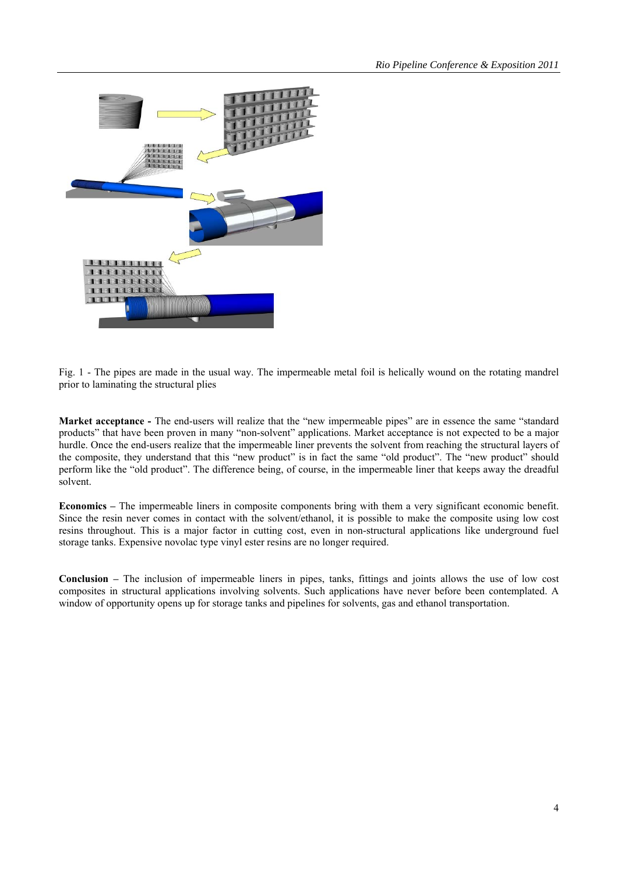

Fig. 1 - The pipes are made in the usual way. The impermeable metal foil is helically wound on the rotating mandrel prior to laminating the structural plies

**Market acceptance -** The end-users will realize that the "new impermeable pipes" are in essence the same "standard products" that have been proven in many "non-solvent" applications. Market acceptance is not expected to be a major hurdle. Once the end-users realize that the impermeable liner prevents the solvent from reaching the structural layers of the composite, they understand that this "new product" is in fact the same "old product". The "new product" should perform like the "old product". The difference being, of course, in the impermeable liner that keeps away the dreadful solvent.

**Economics –** The impermeable liners in composite components bring with them a very significant economic benefit. Since the resin never comes in contact with the solvent/ethanol, it is possible to make the composite using low cost resins throughout. This is a major factor in cutting cost, even in non-structural applications like underground fuel storage tanks. Expensive novolac type vinyl ester resins are no longer required.

**Conclusion –** The inclusion of impermeable liners in pipes, tanks, fittings and joints allows the use of low cost composites in structural applications involving solvents. Such applications have never before been contemplated. A window of opportunity opens up for storage tanks and pipelines for solvents, gas and ethanol transportation.